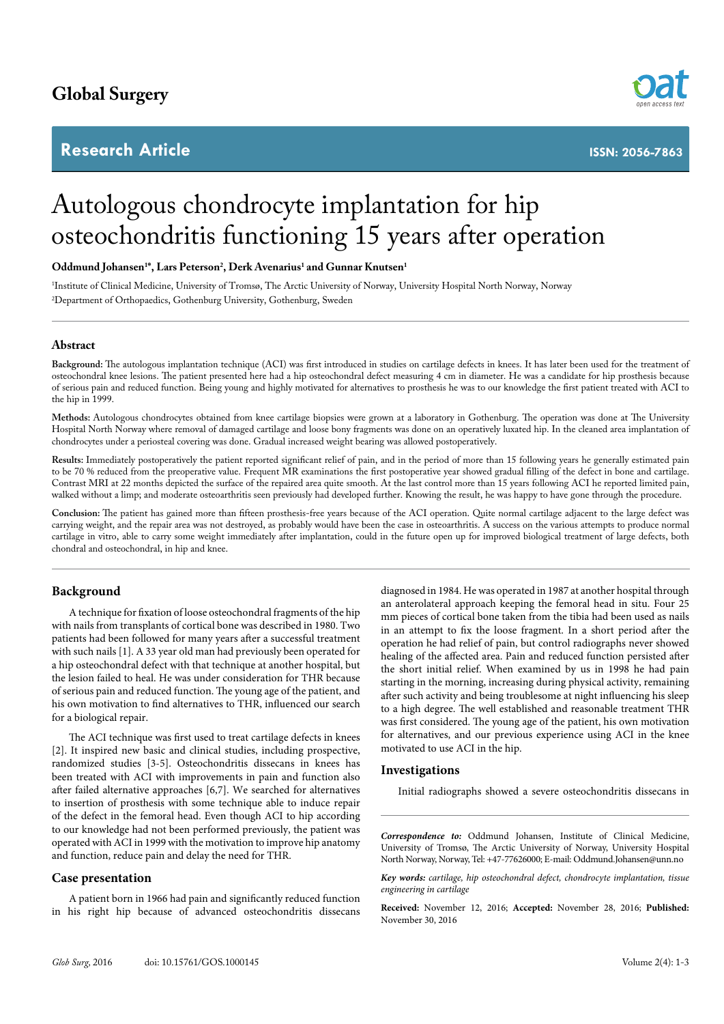# **Global Surgery**

# **Research Article**



**ISSN: 2056-7863**

# Autologous chondrocyte implantation for hip osteochondritis functioning 15 years after operation

# **Oddmund Johansen1 \*, Lars Peterson2 , Derk Avenarius1 and Gunnar Knutsen1**

1 Institute of Clinical Medicine, University of Tromsø, The Arctic University of Norway, University Hospital North Norway, Norway 2 Department of Orthopaedics, Gothenburg University, Gothenburg, Sweden

## **Abstract**

**Background:** The autologous implantation technique (ACI) was first introduced in studies on cartilage defects in knees. It has later been used for the treatment of osteochondral knee lesions. The patient presented here had a hip osteochondral defect measuring 4 cm in diameter. He was a candidate for hip prosthesis because of serious pain and reduced function. Being young and highly motivated for alternatives to prosthesis he was to our knowledge the first patient treated with ACI to the hip in 1999.

**Methods:** Autologous chondrocytes obtained from knee cartilage biopsies were grown at a laboratory in Gothenburg. The operation was done at The University Hospital North Norway where removal of damaged cartilage and loose bony fragments was done on an operatively luxated hip. In the cleaned area implantation of chondrocytes under a periosteal covering was done. Gradual increased weight bearing was allowed postoperatively.

**Results:** Immediately postoperatively the patient reported significant relief of pain, and in the period of more than 15 following years he generally estimated pain to be 70 % reduced from the preoperative value. Frequent MR examinations the first postoperative year showed gradual filling of the defect in bone and cartilage. Contrast MRI at 22 months depicted the surface of the repaired area quite smooth. At the last control more than 15 years following ACI he reported limited pain, walked without a limp; and moderate osteoarthritis seen previously had developed further. Knowing the result, he was happy to have gone through the procedure.

**Conclusion:** The patient has gained more than fifteen prosthesis-free years because of the ACI operation. Quite normal cartilage adjacent to the large defect was carrying weight, and the repair area was not destroyed, as probably would have been the case in osteoarthritis. A success on the various attempts to produce normal cartilage in vitro, able to carry some weight immediately after implantation, could in the future open up for improved biological treatment of large defects, both chondral and osteochondral, in hip and knee.

# **Background**

A technique for fixation of loose osteochondral fragments of the hip with nails from transplants of cortical bone was described in 1980. Two patients had been followed for many years after a successful treatment with such nails [1]. A 33 year old man had previously been operated for a hip osteochondral defect with that technique at another hospital, but the lesion failed to heal. He was under consideration for THR because of serious pain and reduced function. The young age of the patient, and his own motivation to find alternatives to THR, influenced our search for a biological repair.

The ACI technique was first used to treat cartilage defects in knees [2]. It inspired new basic and clinical studies, including prospective, randomized studies [3-5]. Osteochondritis dissecans in knees has been treated with ACI with improvements in pain and function also after failed alternative approaches [6,7]. We searched for alternatives to insertion of prosthesis with some technique able to induce repair of the defect in the femoral head. Even though ACI to hip according to our knowledge had not been performed previously, the patient was operated with ACI in 1999 with the motivation to improve hip anatomy and function, reduce pain and delay the need for THR.

## **Case presentation**

A patient born in 1966 had pain and significantly reduced function in his right hip because of advanced osteochondritis dissecans

diagnosed in 1984. He was operated in 1987 at another hospital through an anterolateral approach keeping the femoral head in situ. Four 25 mm pieces of cortical bone taken from the tibia had been used as nails in an attempt to fix the loose fragment. In a short period after the operation he had relief of pain, but control radiographs never showed healing of the affected area. Pain and reduced function persisted after the short initial relief. When examined by us in 1998 he had pain starting in the morning, increasing during physical activity, remaining after such activity and being troublesome at night influencing his sleep to a high degree. The well established and reasonable treatment THR was first considered. The young age of the patient, his own motivation for alternatives, and our previous experience using ACI in the knee motivated to use ACI in the hip.

#### **Investigations**

Initial radiographs showed a severe osteochondritis dissecans in

*Correspondence to:* Oddmund Johansen, Institute of Clinical Medicine, University of Tromsø, The Arctic University of Norway, University Hospital North Norway, Norway, Tel: +47-77626000; E-mail: Oddmund.Johansen@unn.no

*Key words: cartilage, hip osteochondral defect, chondrocyte implantation, tissue engineering in cartilage*

**Received:** November 12, 2016; **Accepted:** November 28, 2016; **Published:**  November 30, 2016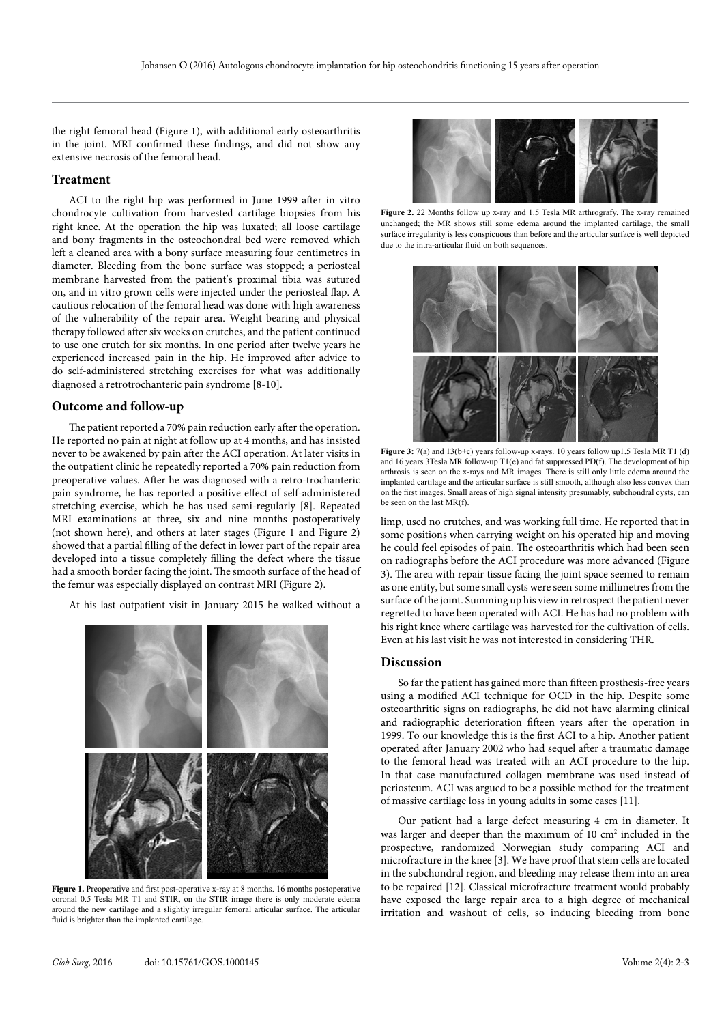the right femoral head (Figure 1), with additional early osteoarthritis in the joint. MRI confirmed these findings, and did not show any extensive necrosis of the femoral head.

#### **Treatment**

ACI to the right hip was performed in June 1999 after in vitro chondrocyte cultivation from harvested cartilage biopsies from his right knee. At the operation the hip was luxated; all loose cartilage and bony fragments in the osteochondral bed were removed which left a cleaned area with a bony surface measuring four centimetres in diameter. Bleeding from the bone surface was stopped; a periosteal membrane harvested from the patient's proximal tibia was sutured on, and in vitro grown cells were injected under the periosteal flap. A cautious relocation of the femoral head was done with high awareness of the vulnerability of the repair area. Weight bearing and physical therapy followed after six weeks on crutches, and the patient continued to use one crutch for six months. In one period after twelve years he experienced increased pain in the hip. He improved after advice to do self-administered stretching exercises for what was additionally diagnosed a retrotrochanteric pain syndrome [8-10].

# **Outcome and follow-up**

The patient reported a 70% pain reduction early after the operation. He reported no pain at night at follow up at 4 months, and has insisted never to be awakened by pain after the ACI operation. At later visits in the outpatient clinic he repeatedly reported a 70% pain reduction from preoperative values. After he was diagnosed with a retro-trochanteric pain syndrome, he has reported a positive effect of self-administered stretching exercise, which he has used semi-regularly [8]. Repeated MRI examinations at three, six and nine months postoperatively (not shown here), and others at later stages (Figure 1 and Figure 2) showed that a partial filling of the defect in lower part of the repair area developed into a tissue completely filling the defect where the tissue had a smooth border facing the joint. The smooth surface of the head of the femur was especially displayed on contrast MRI (Figure 2).

At his last outpatient visit in January 2015 he walked without a



**Figure 1.** Preoperative and first post-operative x-ray at 8 months. 16 months postoperative coronal 0.5 Tesla MR T1 and STIR, on the STIR image there is only moderate edema around the new cartilage and a slightly irregular femoral articular surface. The articular fluid is brighter than the implanted cartilage.

![](_page_1_Picture_9.jpeg)

**Figure 2.** 22 Months follow up x-ray and 1.5 Tesla MR arthrografy. The x-ray remained unchanged; the MR shows still some edema around the implanted cartilage, the small surface irregularity is less conspicuous than before and the articular surface is well depicted due to the intra-articular fluid on both sequences.

![](_page_1_Figure_11.jpeg)

**Figure 3:** 7(a) and 13(b+c) years follow-up x-rays. 10 years follow up1.5 Tesla MR T1 (d) and 16 years 3Tesla MR follow-up T1(e) and fat suppressed PD(f). The development of hip arthrosis is seen on the x-rays and MR images. There is still only little edema around the implanted cartilage and the articular surface is still smooth, although also less convex than on the first images. Small areas of high signal intensity presumably, subchondral cysts, can be seen on the last MR(f).

limp, used no crutches, and was working full time. He reported that in some positions when carrying weight on his operated hip and moving he could feel episodes of pain. The osteoarthritis which had been seen on radiographs before the ACI procedure was more advanced (Figure 3). The area with repair tissue facing the joint space seemed to remain as one entity, but some small cysts were seen some millimetres from the surface of the joint. Summing up his view in retrospect the patient never regretted to have been operated with ACI. He has had no problem with his right knee where cartilage was harvested for the cultivation of cells. Even at his last visit he was not interested in considering THR.

# **Discussion**

So far the patient has gained more than fifteen prosthesis-free years using a modified ACI technique for OCD in the hip. Despite some osteoarthritic signs on radiographs, he did not have alarming clinical and radiographic deterioration fifteen years after the operation in 1999. To our knowledge this is the first ACI to a hip. Another patient operated after January 2002 who had sequel after a traumatic damage to the femoral head was treated with an ACI procedure to the hip. In that case manufactured collagen membrane was used instead of periosteum. ACI was argued to be a possible method for the treatment of massive cartilage loss in young adults in some cases [11].

Our patient had a large defect measuring 4 cm in diameter. It was larger and deeper than the maximum of 10 cm<sup>2</sup> included in the prospective, randomized Norwegian study comparing ACI and microfracture in the knee [3]. We have proof that stem cells are located in the subchondral region, and bleeding may release them into an area to be repaired [12]. Classical microfracture treatment would probably have exposed the large repair area to a high degree of mechanical irritation and washout of cells, so inducing bleeding from bone